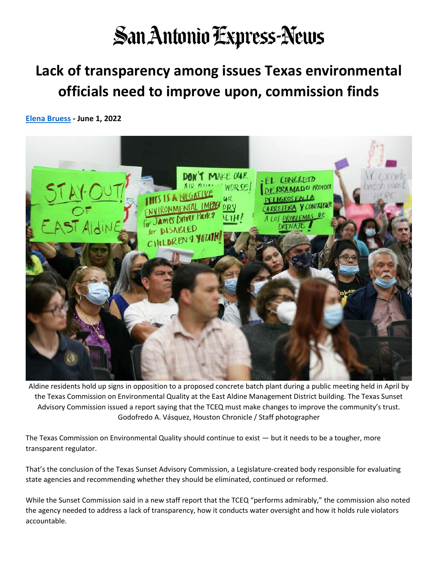## **San Antonio Express-News**

## **Lack of transparency among issues Texas environmental officials need to improve upon, commission finds**

**[Elena Bruess](https://www.expressnews.com/author/elena-bruess/) - June 1, 2022**



Aldine residents hold up signs in opposition to a proposed concrete batch plant during a public meeting held in April by the Texas Commission on Environmental Quality at the East Aldine Management District building. The Texas Sunset Advisory Commission issued a report saying that the TCEQ must make changes to improve the community's trust. Godofredo A. Vásquez, Houston Chronicle / Staff photographer

The Texas Commission on Environmental Quality should continue to exist — but it needs to be a tougher, more transparent regulator.

That's the conclusion of the Texas Sunset Advisory Commission, a Legislature-created body responsible for evaluating state agencies and recommending whether they should be eliminated, continued or reformed.

While the Sunset Commission said in a new staff report that the TCEQ "performs admirably," the commission also noted the agency needed to address a lack of transparency, how it conducts water oversight and how it holds rule violators accountable.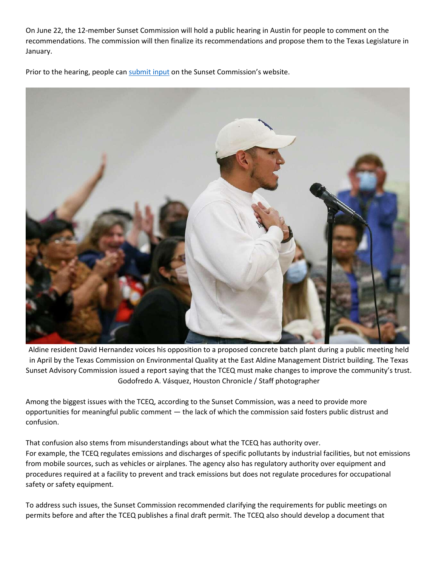On June 22, the 12-member Sunset Commission will hold a public hearing in Austin for people to comment on the recommendations. The commission will then finalize its recommendations and propose them to the Texas Legislature in January.

Prior to the hearing, people can [submit input](https://www.sunset.texas.gov/sunset-commission-meetings) on the Sunset Commission's website.



Aldine resident David Hernandez voices his opposition to a proposed concrete batch plant during a public meeting held in April by the Texas Commission on Environmental Quality at the East Aldine Management District building. The Texas Sunset Advisory Commission issued a report saying that the TCEQ must make changes to improve the community's trust. Godofredo A. Vásquez, Houston Chronicle / Staff photographer

Among the biggest issues with the TCEQ, according to the Sunset Commission, was a need to provide more opportunities for meaningful public comment — the lack of which the commission said fosters public distrust and confusion.

That confusion also stems from misunderstandings about what the TCEQ has authority over. For example, the TCEQ regulates emissions and discharges of specific pollutants by industrial facilities, but not emissions from mobile sources, such as vehicles or airplanes. The agency also has regulatory authority over equipment and procedures required at a facility to prevent and track emissions but does not regulate procedures for occupational safety or safety equipment.

To address such issues, the Sunset Commission recommended clarifying the requirements for public meetings on permits before and after the TCEQ publishes a final draft permit. The TCEQ also should develop a document that